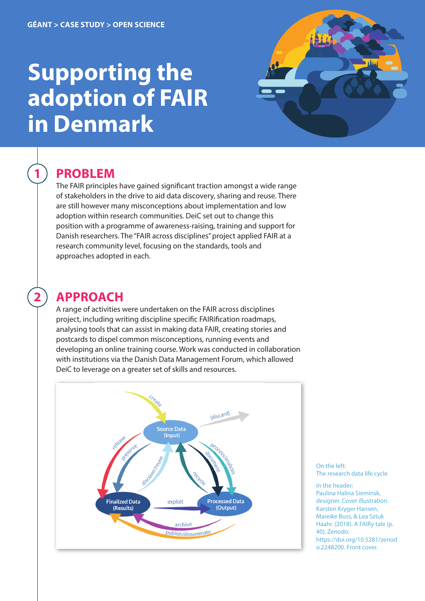# **Supporting the adoption of FAIR in Denmark**



### **PROBLEM**

**1**

**2**

The FAIR principles have gained significant traction amongst a wide range of stakeholders in the drive to aid data discovery, sharing and reuse. There are still however many misconceptions about implementation and low adoption within research communities. DeiC set out to change this position with a programme of awareness-raising, training and support for Danish researchers. The "FAIR across disciplines" project applied FAIR at a research community level, focusing on the standards, tools and approaches adopted in each.

## **APPROACH**

A range of activities were undertaken on the FAIR across disciplines project, including writing discipline specific FAIRification roadmaps, analysing tools that can assist in making data FAIR, creating stories and postcards to dispel common misconceptions, running events and developing an online training course. Work was conducted in collaboration with institutions via the Danish Data Management Forum, which allowed DeiC to leverage on a greater set of skills and resources.



On the left: The research data life cycle

In the header: Paulina Halina Sieminsk, designer. Cover illustration. Karsten Kryger Hansen, Mareike Buss, & Lea Sztuk Haahr. (2018). A FAIRy tale (p. 40). Zenodo. [https://doi.org/10.5281/zenod](https://doi.org/10.5281/zenodo.2248200) o.2248200. Front cover.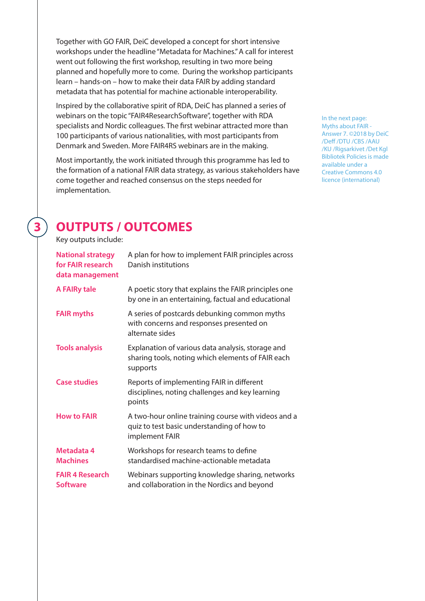Together with [GO FAIR](https://www.gofairfoundation.org/m4m/), DeiC developed a concept for short intensive workshops under the headline "Metadata for Machines." A call for interest went out following the first workshop, resulting in two more being planned and hopefully more to come. During the workshop participants learn – hands-on – how to make their data FAIR by adding standard metadata that has potential for machine actionable interoperability.

Inspired by the collaborative spirit of [RDA,](https://www.rd-alliance.org/) DeiC has planned a series of webinars on the topic "FAIR4ResearchSoftware", together with RDA specialists and Nordic colleagues. The first webinar attracted more than 100 participants of various nationalities, with most participants from Denmark and Sweden. More FAIR4RS webinars are in the making.

Most importantly, the work initiated through this programme has led to the formation of a national FAIR data strategy, as various stakeholders have come together and reached consensus on the steps needed for implementation.

In the next page: Myths about FAIR - Answer 7. ©2018 by DeiC /Deff /DTU /CBS /AAU /KU /Rigsarkivet /Det Kgl Bibliotek Policies is made available under a Creative Commons 4.0 licence (international)

## **OUTPUTS / OUTCOMES**

Key outputs include:

**3**

| <b>National strategy</b><br>for FAIR research<br>data management | A plan for how to implement FAIR principles across<br>Danish institutions                                           |
|------------------------------------------------------------------|---------------------------------------------------------------------------------------------------------------------|
| <b>A FAIRy tale</b>                                              | A poetic story that explains the FAIR principles one<br>by one in an entertaining, factual and educational          |
| <b>FAIR myths</b>                                                | A series of postcards debunking common myths<br>with concerns and responses presented on<br>alternate sides         |
| <b>Tools analysis</b>                                            | Explanation of various data analysis, storage and<br>sharing tools, noting which elements of FAIR each<br>supports  |
| <b>Case studies</b>                                              | Reports of implementing FAIR in different<br>disciplines, noting challenges and key learning<br>points              |
| <b>How to FAIR</b>                                               | A two-hour online training course with videos and a<br>quiz to test basic understanding of how to<br>implement FAIR |
| Metadata 4<br><b>Machines</b>                                    | Workshops for research teams to define<br>standardised machine-actionable metadata                                  |
| <b>FAIR 4 Research</b><br><b>Software</b>                        | Webinars supporting knowledge sharing, networks<br>and collaboration in the Nordics and beyond                      |